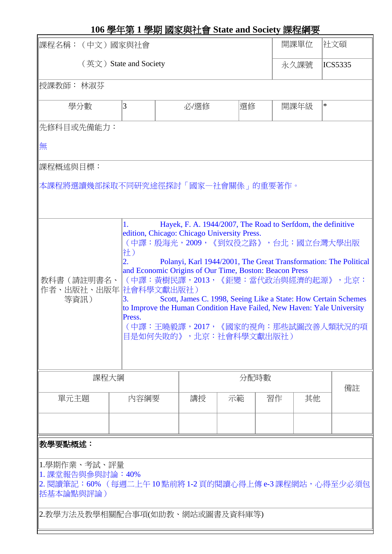| 課程名稱:(中文)國家與社會                                                                                                                                                                                                                                                                                                                                                                                                                                                                                                                                                                                                              |      |      |      |    |  |                | 開課單位<br>社文碩 |                |    |  |  |  |  |
|-----------------------------------------------------------------------------------------------------------------------------------------------------------------------------------------------------------------------------------------------------------------------------------------------------------------------------------------------------------------------------------------------------------------------------------------------------------------------------------------------------------------------------------------------------------------------------------------------------------------------------|------|------|------|----|--|----------------|-------------|----------------|----|--|--|--|--|
| (英文) State and Society<br>永久課號                                                                                                                                                                                                                                                                                                                                                                                                                                                                                                                                                                                              |      |      |      |    |  |                |             | <b>ICS5335</b> |    |  |  |  |  |
| 授課教師: 林淑芬                                                                                                                                                                                                                                                                                                                                                                                                                                                                                                                                                                                                                   |      |      |      |    |  |                |             |                |    |  |  |  |  |
| 3<br>學分數                                                                                                                                                                                                                                                                                                                                                                                                                                                                                                                                                                                                                    |      | 必/選修 |      | 選修 |  | $\ast$<br>開課年級 |             |                |    |  |  |  |  |
| 先修科目或先備能力:                                                                                                                                                                                                                                                                                                                                                                                                                                                                                                                                                                                                                  |      |      |      |    |  |                |             |                |    |  |  |  |  |
| 無                                                                                                                                                                                                                                                                                                                                                                                                                                                                                                                                                                                                                           |      |      |      |    |  |                |             |                |    |  |  |  |  |
| 課程概述與目標:                                                                                                                                                                                                                                                                                                                                                                                                                                                                                                                                                                                                                    |      |      |      |    |  |                |             |                |    |  |  |  |  |
| 本課程將選讀幾部採取不同研究途徑探討「國家一社會關係」的重要著作。                                                                                                                                                                                                                                                                                                                                                                                                                                                                                                                                                                                           |      |      |      |    |  |                |             |                |    |  |  |  |  |
| Hayek, F. A. 1944/2007, The Road to Serfdom, the definitive<br>1.<br>edition, Chicago: Chicago University Press.<br>(中譯:殷海光,2009,《到奴役之路》,台北:國立台灣大學出版<br>社)<br>$\overline{2}$ .<br>Polanyi, Karl 1944/2001, The Great Transformation: The Political<br>and Economic Origins of Our Time, Boston: Beacon Press<br>(中譯:黃樹民譯,2013,《鉅變:當代政治與經濟的起源》,北京:<br>教科書(請註明書名、<br>作者、出版社、出版年 社會科學文獻出版社)<br>Scott, James C. 1998, Seeing Like a State: How Certain Schemes<br>等資訊)<br>З.<br>to Improve the Human Condition Have Failed, New Haven: Yale University<br>Press.<br>(中譯:王曉毅譯,2017,《國家的視角:那些試圖改善人類狀況的項<br>目是如何失敗的》,北京:社會科學文獻出版社) |      |      |      |    |  |                |             |                |    |  |  |  |  |
| 課程大綱                                                                                                                                                                                                                                                                                                                                                                                                                                                                                                                                                                                                                        |      |      | 分配時數 |    |  |                |             |                | 備註 |  |  |  |  |
| 單元主題                                                                                                                                                                                                                                                                                                                                                                                                                                                                                                                                                                                                                        | 內容綱要 |      | 講授   | 示範 |  | 習作             | 其他          |                |    |  |  |  |  |
|                                                                                                                                                                                                                                                                                                                                                                                                                                                                                                                                                                                                                             |      |      |      |    |  |                |             |                |    |  |  |  |  |
| 教學要點概述:                                                                                                                                                                                                                                                                                                                                                                                                                                                                                                                                                                                                                     |      |      |      |    |  |                |             |                |    |  |  |  |  |
| 1.學期作業、考試、評量<br> 1. 課堂報告與參與討論:40%<br> 2. 閱讀筆記:60% (每週二上午 10 點前將 1-2 頁的閱讀心得上傳 e-3 課程網站,心得至少必須包<br> 括基本論點與評論 )<br> 2.教學方法及教學相關配合事項(如助教、網站或圖書及資料庫等)                                                                                                                                                                                                                                                                                                                                                                                                                                                                            |      |      |      |    |  |                |             |                |    |  |  |  |  |
|                                                                                                                                                                                                                                                                                                                                                                                                                                                                                                                                                                                                                             |      |      |      |    |  |                |             |                |    |  |  |  |  |

## **106** 學年第 **1** 學期 國家與社會 **State and Society** 課程綱要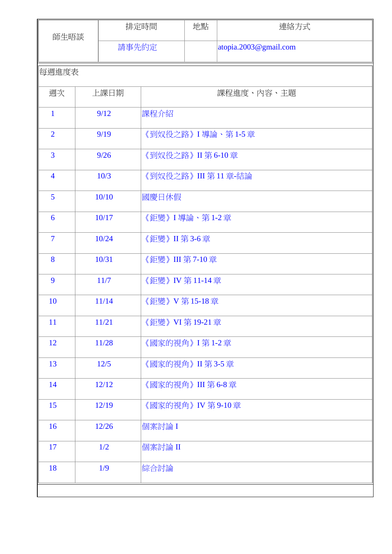| 師生晤談            |      | 排定時間  |                      | 地點 | 連絡方式                  |  |  |  |  |
|-----------------|------|-------|----------------------|----|-----------------------|--|--|--|--|
|                 |      | 請事先約定 |                      |    | atopia.2003@gmail.com |  |  |  |  |
| 每週進度表           |      |       |                      |    |                       |  |  |  |  |
| 週次              | 上課日期 |       | 課程進度、內容、主題           |    |                       |  |  |  |  |
| $\mathbf{1}$    |      | 9/12  | 課程介紹                 |    |                       |  |  |  |  |
| $\overline{2}$  |      | 9/19  | 《到奴役之路》 I 導論、第 1-5 章 |    |                       |  |  |  |  |
| $\overline{3}$  |      | 9/26  | 《到奴役之路》II 第 6-10章    |    |                       |  |  |  |  |
| $\overline{4}$  |      | 10/3  | 《到奴役之路》III 第11章-結論   |    |                       |  |  |  |  |
| 5               |      | 10/10 | 國慶日休假                |    |                       |  |  |  |  |
| $6\phantom{1}6$ |      | 10/17 | 《鉅變》 I 導論、第 1-2 章    |    |                       |  |  |  |  |
| $\overline{7}$  |      | 10/24 | 《鉅變》II 第 3-6章        |    |                       |  |  |  |  |
| 8               |      | 10/31 | 《鉅變》III 第 7-10 章     |    |                       |  |  |  |  |
| 9               |      | 11/7  | 《鉅變》IV 第11-14章       |    |                       |  |  |  |  |
| 10              |      | 11/14 | 《鉅變》V 第15-18章        |    |                       |  |  |  |  |
| 11              |      | 11/21 | 《鉅變》VI 第 19-21 章     |    |                       |  |  |  |  |
| 12              |      | 11/28 | 《國家的視角》 I 第 1-2 章    |    |                       |  |  |  |  |
| 13              |      | 12/5  | 《國家的視角》II 第 3-5 章    |    |                       |  |  |  |  |
| 14              |      | 12/12 | 《國家的視角》III 第 6-8 章   |    |                       |  |  |  |  |
| 15              |      | 12/19 | 《國家的視角》IV 第 9-10章    |    |                       |  |  |  |  |
| 16              |      | 12/26 | 個案討論 I               |    |                       |  |  |  |  |
| 17              |      | 1/2   | 個案討論 II              |    |                       |  |  |  |  |
| 18              |      | 1/9   | 綜合討論                 |    |                       |  |  |  |  |
|                 |      |       |                      |    |                       |  |  |  |  |